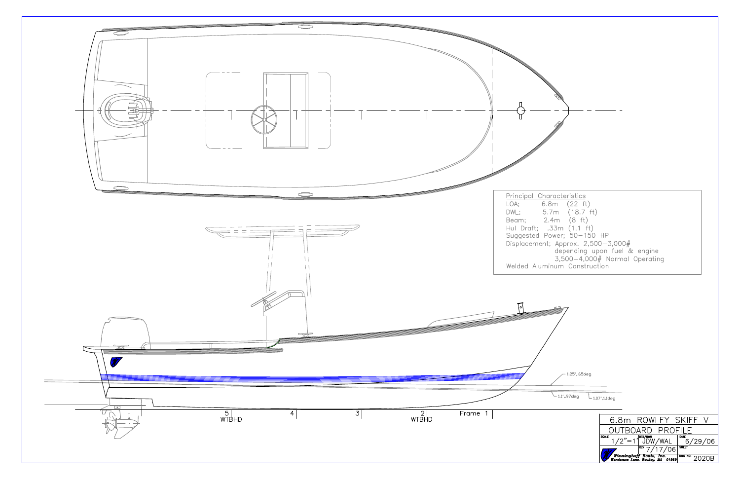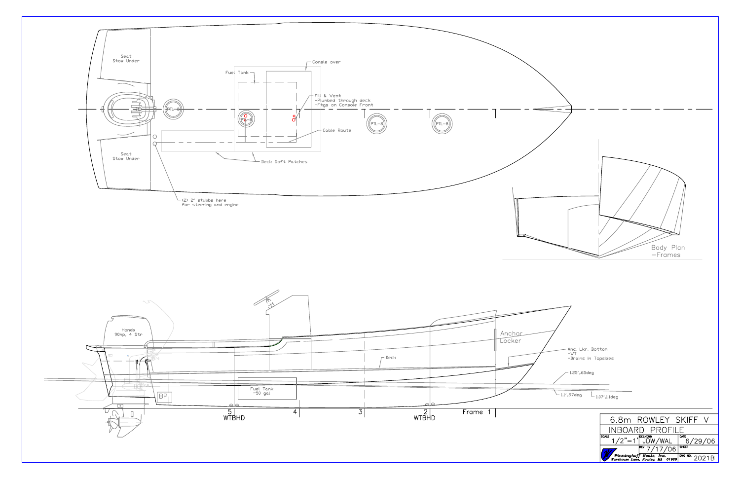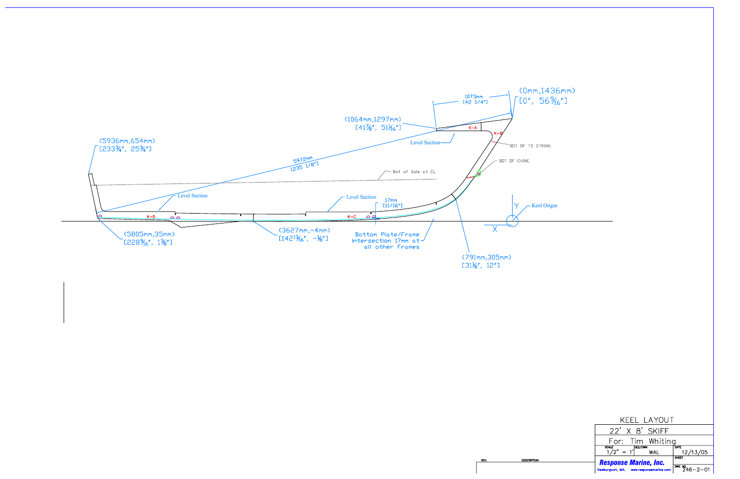

# (0mm, 1436mm)

| KEEL LAYOUT                                                                      |                                       |  |  |  |  |
|----------------------------------------------------------------------------------|---------------------------------------|--|--|--|--|
| $22'$ X $8'$ SKIFF                                                               |                                       |  |  |  |  |
| For: Tim Whiting                                                                 |                                       |  |  |  |  |
| $\frac{\text{scale}}{1/2}$ = 1 <sup>'</sup> DES/DWN<br>1/2" = 1 <sup>'</sup> WAL | DATE<br>12/13/05                      |  |  |  |  |
| <b>Response Marine, Inc.</b>                                                     | SHEET                                 |  |  |  |  |
| Newburyport, MA, www.responsemarine.com                                          | $\frac{1000 \text{ N}}{246 - 2 - 01}$ |  |  |  |  |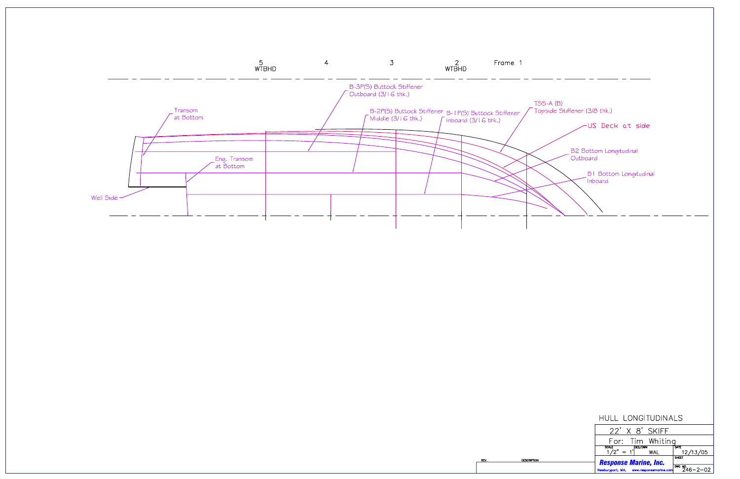

REV.

### HULL LONGITUDINALS

| $22'$ X $8'$ SKIFF                          |                                     |
|---------------------------------------------|-------------------------------------|
| For: Tim Whiting                            |                                     |
| SCALE $1/2" = 1'$ <sup>DES/DWN</sup><br>WAL | DATE<br>12/13/05                    |
| <b>Response Marine, Inc.</b>                | SHEET                               |
| Newburyport, MA, www.responsemarine.com     | $\sqrt{\frac{DWC}{2}}$ 246 - 2 - 02 |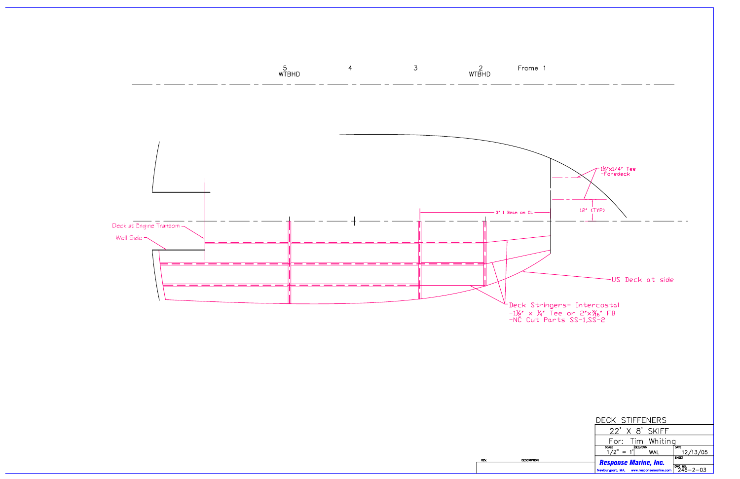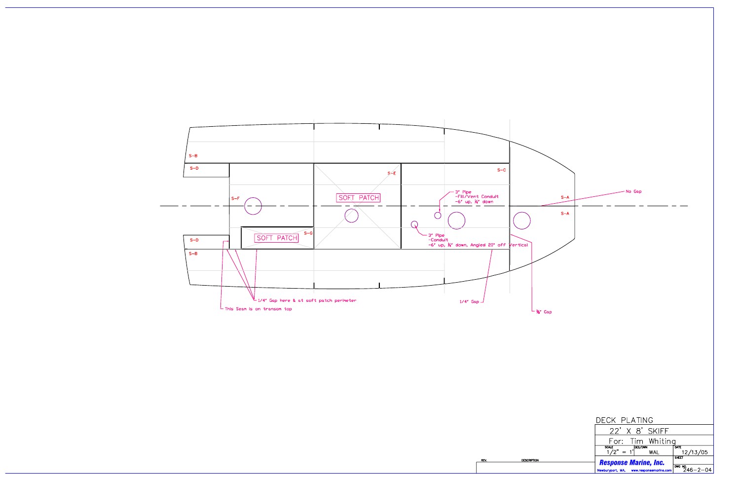

**DESCRIPTION** 

**REV** 

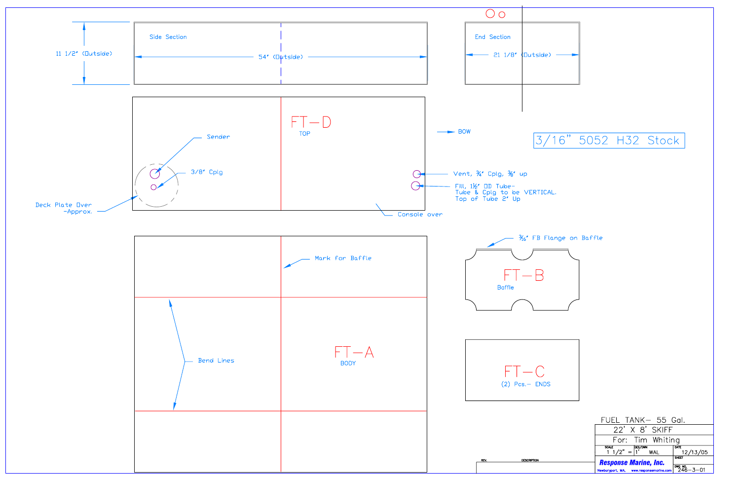

## 3/16" 5052 H32 Stock

| 12/13/05                              |
|---------------------------------------|
|                                       |
| $\frac{1000 \text{ N}}{246 - 3 - 01}$ |
|                                       |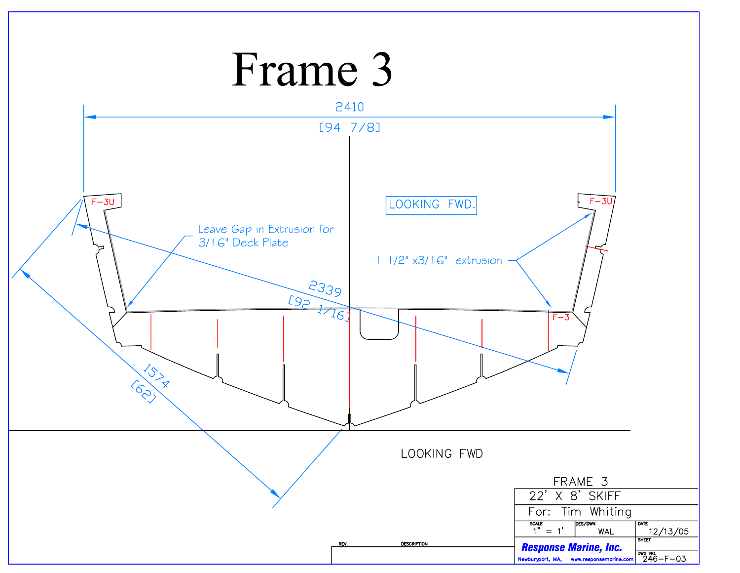### Frame 3 2410  $[94 7/8]$  $F - 3U$  $F - 3U$ LOOKING FWD. Leave Gap in Extrusion for 3/16" Deck Plate  $11/2$ " x3/16" extrusion 2339  $192176$  $F - 3$ LSI A LOOKING FWD FRAME 3 22' X 8' SKIFF For: Tim Whiting  $\frac{scale}{1" = 1'}.$ DES/DWN DATE SHEET 12/13/05 **WAL DESCRIPTION** REV. **Response Marine, Inc.** Newburyport, MA, www.responsemarine.com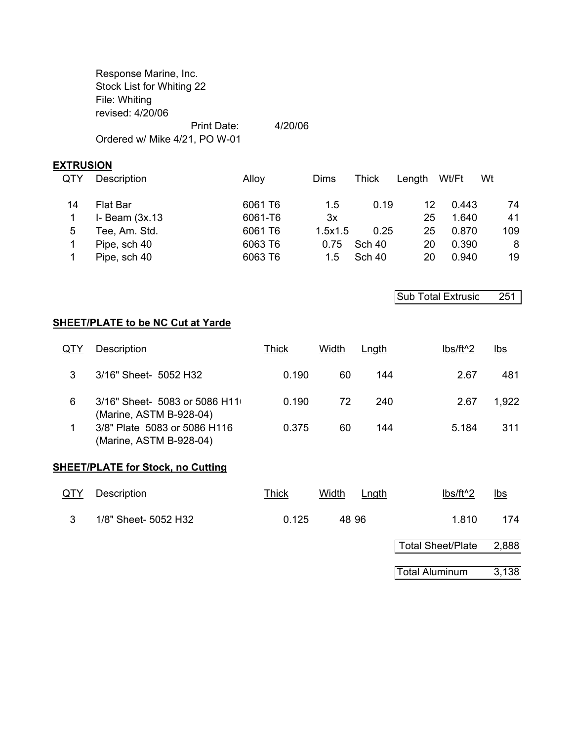Response Marine, Inc. Stock List for Whiting 22 File: Whiting revised: 4/20/06 Print Date: 4/20/06 Ordered w/ Mike 4/21, PO W-01

#### **EXTRUSION**

| <b>QTY</b> | Description         | Alloy   | Dims    | Thick         | Length | Wt/Ft | Wt  |
|------------|---------------------|---------|---------|---------------|--------|-------|-----|
| 14         | Flat Bar            | 6061 T6 | 1.5     | 0.19          | 12     | 0.443 | 74  |
|            | $I-$ Beam $(3x.13)$ | 6061-T6 | 3x      |               | 25     | 1.640 | 41  |
| 5          | Tee, Am. Std.       | 6061 T6 | 1.5x1.5 | 0.25          | 25     | 0.870 | 109 |
|            | Pipe, sch 40        | 6063 T6 | 0.75    | Sch 40        | 20     | 0.390 | 8   |
|            | Pipe, sch 40        | 6063 T6 | 1.5     | <b>Sch 40</b> | 20     | 0.940 | 19  |

Sub Total Extrusic 251

#### **SHEET/PLATE to be NC Cut at Yarde**

| QTY | Description                                              | Thick | Width | Lngth | lbs/ft <sup>^2</sup> | <u>lbs</u> |
|-----|----------------------------------------------------------|-------|-------|-------|----------------------|------------|
|     | 3/16" Sheet- 5052 H32                                    | 0.190 | 60    | 144   | 2.67                 | 481        |
| 6   | 3/16" Sheet- 5083 or 5086 H11<br>(Marine, ASTM B-928-04) | 0.190 | 72    | 240   | 2.67                 | 1,922      |
|     | 3/8" Plate 5083 or 5086 H116<br>(Marine, ASTM B-928-04)  | 0.375 | 60    | 144   | 5.184                | 311        |

#### **SHEET/PLATE for Stock, no Cutting**

| <u>QTY</u> | Description          | <u>Thick</u> | Width<br>Lngth | lbs/ft <sup>^2</sup> | <u>lbs</u> |
|------------|----------------------|--------------|----------------|----------------------|------------|
|            | 1/8" Sheet- 5052 H32 | 0.125        | 48.96          | 1.810                | 174        |

| Total Sheet/Plate     | 2,888 |  |  |
|-----------------------|-------|--|--|
|                       |       |  |  |
| <b>Total Aluminum</b> | 3,138 |  |  |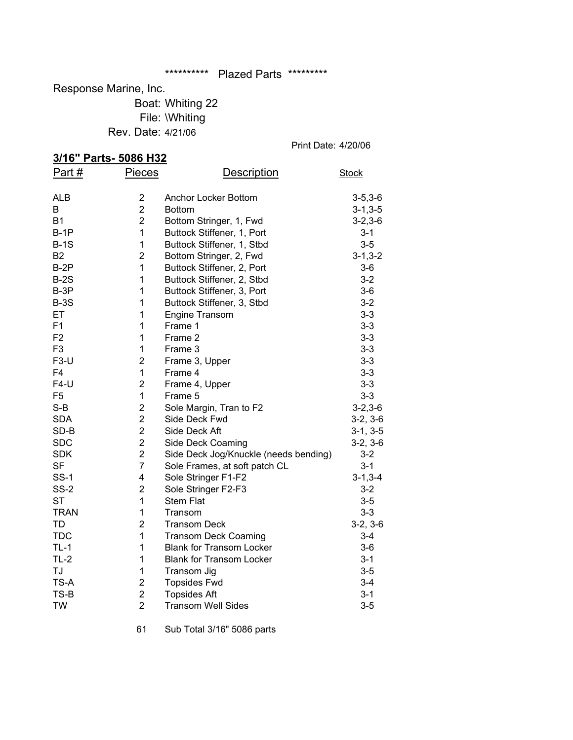#### \*\*\*\*\*\*\*\*\*\*\* Plazed Parts \*\*\*\*\*\*\*\*\*

Response Marine, Inc.

Boat: Whiting 22 File: \Whiting Rev. Date: 4/21/06

Print Date: 4/20/06

## **3/16" Parts- 5086 H32**<br>Part # Pieces

| <u>эл нь Parts- эйрь пэд</u> |                         |                                       |                |
|------------------------------|-------------------------|---------------------------------------|----------------|
| Part $#$                     | <b>Pieces</b>           | <b>Description</b>                    | <b>Stock</b>   |
| ALB                          | $\overline{2}$          | Anchor Locker Bottom                  | $3 - 5, 3 - 6$ |
| B                            | $\overline{2}$          | <b>Bottom</b>                         | $3 - 1, 3 - 5$ |
| <b>B1</b>                    | $\overline{2}$          | Bottom Stringer, 1, Fwd               | $3 - 2, 3 - 6$ |
| $B-1P$                       | $\mathbf{1}$            | Buttock Stiffener, 1, Port            | $3 - 1$        |
| $B-1S$                       | $\mathbf 1$             | Buttock Stiffener, 1, Stbd            | $3-5$          |
| <b>B2</b>                    | $\overline{2}$          | Bottom Stringer, 2, Fwd               | $3 - 1, 3 - 2$ |
| $B-2P$                       | $\mathbf{1}$            | Buttock Stiffener, 2, Port            | 3-6            |
| $B-2S$                       | 1                       | Buttock Stiffener, 2, Stbd            | $3 - 2$        |
| B-3P                         | 1                       | Buttock Stiffener, 3, Port            | $3-6$          |
| $B-3S$                       | 1                       | Buttock Stiffener, 3, Stbd            | $3 - 2$        |
| ET                           | 1                       | Engine Transom                        | $3 - 3$        |
| F1                           | 1                       | Frame 1                               | $3 - 3$        |
| F <sub>2</sub>               | 1                       | Frame 2                               | $3 - 3$        |
| F <sub>3</sub>               | 1                       | Frame 3                               | $3 - 3$        |
| $F3-U$                       | $\overline{2}$          | Frame 3, Upper                        | $3 - 3$        |
| F4                           | $\mathbf 1$             | Frame 4                               | $3 - 3$        |
| $F4-U$                       | $\overline{2}$          | Frame 4, Upper                        | $3 - 3$        |
| F <sub>5</sub>               | $\mathbf{1}$            | Frame 5                               | $3 - 3$        |
| $S-B$                        | $\overline{2}$          | Sole Margin, Tran to F2               | $3 - 2, 3 - 6$ |
| <b>SDA</b>                   | $\overline{2}$          | Side Deck Fwd                         | $3-2, 3-6$     |
| SD-B                         | $\overline{2}$          | Side Deck Aft                         | $3-1, 3-5$     |
| <b>SDC</b>                   | $\overline{2}$          | Side Deck Coaming                     | $3-2, 3-6$     |
| <b>SDK</b>                   | $\overline{2}$          | Side Deck Jog/Knuckle (needs bending) | $3 - 2$        |
| <b>SF</b>                    | $\overline{7}$          | Sole Frames, at soft patch CL         | $3 - 1$        |
| <b>SS-1</b>                  | 4                       | Sole Stringer F1-F2                   | $3 - 1, 3 - 4$ |
| $SS-2$                       | $\overline{2}$          | Sole Stringer F2-F3                   | $3 - 2$        |
| <b>ST</b>                    | $\mathbf{1}$            | <b>Stem Flat</b>                      | $3-5$          |
| <b>TRAN</b>                  | 1                       | Transom                               | $3 - 3$        |
| TD                           | $\overline{c}$          | <b>Transom Deck</b>                   | $3-2, 3-6$     |
| <b>TDC</b>                   | $\mathbf{1}$            | <b>Transom Deck Coaming</b>           | $3 - 4$        |
| $TL-1$                       | 1                       | <b>Blank for Transom Locker</b>       | $3-6$          |
| $TL-2$                       | 1                       | <b>Blank for Transom Locker</b>       | $3 - 1$        |
| TJ                           | 1                       | Transom Jig                           | $3 - 5$        |
| TS-A                         | $\overline{\mathbf{c}}$ | <b>Topsides Fwd</b>                   | $3 - 4$        |
| TS-B                         | $\overline{c}$          | <b>Topsides Aft</b>                   | $3 - 1$        |
| <b>TW</b>                    | $\overline{2}$          | <b>Transom Well Sides</b>             | $3-5$          |

61 Sub Total 3/16" 5086 parts